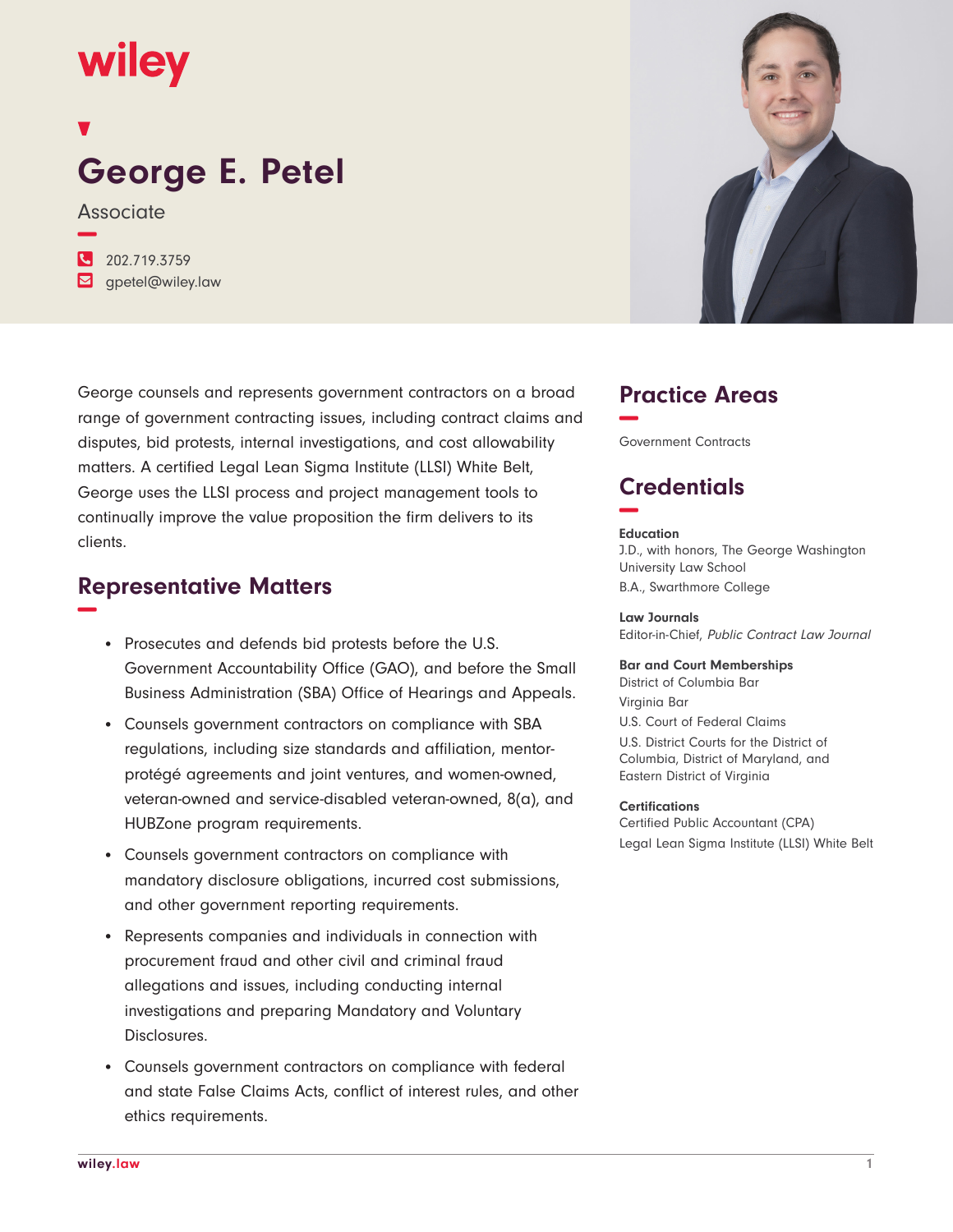# wiley

# **George E. Petel**

Associate

**−**

**�** 202.719.3759 **�** gpetel@wiley.law

George counsels and represents government contractors on a broad range of government contracting issues, including contract claims and disputes, bid protests, internal investigations, and cost allowability matters. A certified Legal Lean Sigma Institute (LLSI) White Belt, George uses the LLSI process and project management tools to continually improve the value proposition the firm delivers to its clients.

#### **Representative Matters −**

- Prosecutes and defends bid protests before the U.S. Government Accountability Office (GAO), and before the Small Business Administration (SBA) Office of Hearings and Appeals.
- Counsels government contractors on compliance with SBA regulations, including size standards and affiliation, mentorprotégé agreements and joint ventures, and women-owned, veteran-owned and service-disabled veteran-owned, 8(a), and HUBZone program requirements.
- Counsels government contractors on compliance with mandatory disclosure obligations, incurred cost submissions, and other government reporting requirements.
- Represents companies and individuals in connection with procurement fraud and other civil and criminal fraud allegations and issues, including conducting internal investigations and preparing Mandatory and Voluntary Disclosures.
- Counsels government contractors on compliance with federal and state False Claims Acts, conflict of interest rules, and other ethics requirements.



## **Practice Areas −**

Government Contracts

## **Credentials −**

#### **Education**

J.D., with honors, The George Washington University Law School B.A., Swarthmore College

**Law Journals** Editor-in-Chief, Public Contract Law Journal

**Bar and Court Memberships** District of Columbia Bar Virginia Bar U.S. Court of Federal Claims U.S. District Courts for the District of Columbia, District of Maryland, and Eastern District of Virginia

#### **Certifications**

Certified Public Accountant (CPA) Legal Lean Sigma Institute (LLSI) White Belt